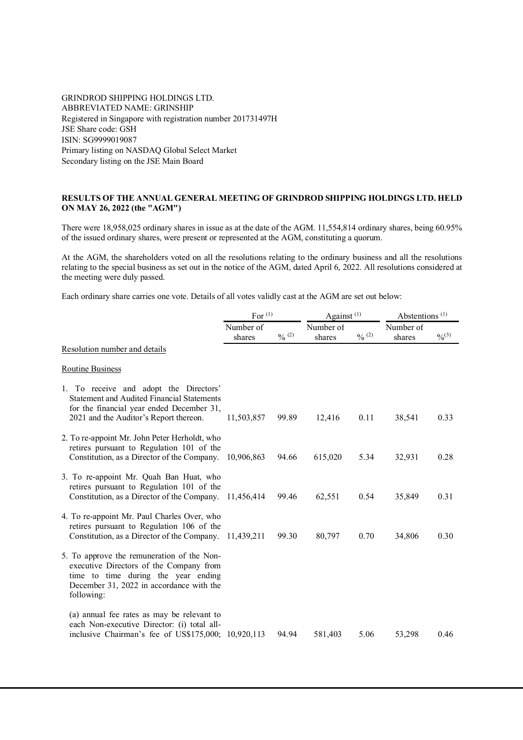## GRINDROD SHIPPING HOLDINGS LTD. ABBREVIATED NAME: GRINSHIP Registered in Singapore with registration number 201731497H JSE Share code: GSH ISIN: SG9999019087 Primary listing on NASDAQ Global Select Market Secondary listing on the JSE Main Board

## **RESULTS OF THE ANNUAL GENERAL MEETING OF GRINDROD SHIPPING HOLDINGS LTD. HELD ON MAY 26, 2022 (the "AGM")**

There were 18,958,025 ordinary shares in issue as at the date of the AGM. 11,554,814 ordinary shares, being 60.95% of the issued ordinary shares, were present or represented at the AGM, constituting a quorum.

At the AGM, the shareholders voted on all the resolutions relating to the ordinary business and all the resolutions relating to the special business as set out in the notice of the AGM, dated April 6, 2022. All resolutions considered at the meeting were duly passed.

Each ordinary share carries one vote. Details of all votes validly cast at the AGM are set out below:

|                                                                                                                                                                                        | For $(1)$           |                   | Against $(1)$       |                   | Abstentions <sup>(1)</sup> |             |
|----------------------------------------------------------------------------------------------------------------------------------------------------------------------------------------|---------------------|-------------------|---------------------|-------------------|----------------------------|-------------|
|                                                                                                                                                                                        | Number of<br>shares | $\frac{0}{0}$ (2) | Number of<br>shares | $\frac{0}{0}$ (2) | Number of<br>shares        | $0/0^{(3)}$ |
| Resolution number and details                                                                                                                                                          |                     |                   |                     |                   |                            |             |
| <b>Routine Business</b>                                                                                                                                                                |                     |                   |                     |                   |                            |             |
| 1. To receive and adopt the Directors'<br>Statement and Audited Financial Statements<br>for the financial year ended December 31,<br>2021 and the Auditor's Report thereon.            | 11,503,857          | 99.89             | 12,416              | 0.11              | 38,541                     | 0.33        |
| 2. To re-appoint Mr. John Peter Herholdt, who<br>retires pursuant to Regulation 101 of the<br>Constitution, as a Director of the Company.                                              | 10,906,863          | 94.66             | 615,020             | 5.34              | 32,931                     | 0.28        |
| 3. To re-appoint Mr. Quah Ban Huat, who<br>retires pursuant to Regulation 101 of the<br>Constitution, as a Director of the Company.                                                    | 11,456,414          | 99.46             | 62,551              | 0.54              | 35,849                     | 0.31        |
| 4. To re-appoint Mr. Paul Charles Over, who<br>retires pursuant to Regulation 106 of the<br>Constitution, as a Director of the Company.                                                | 11,439,211          | 99.30             | 80,797              | 0.70              | 34,806                     | 0.30        |
| 5. To approve the remuneration of the Non-<br>executive Directors of the Company from<br>time to time during the year ending<br>December 31, 2022 in accordance with the<br>following: |                     |                   |                     |                   |                            |             |
| (a) annual fee rates as may be relevant to<br>each Non-executive Director: (i) total all-<br>inclusive Chairman's fee of US\$175,000; 10,920,113                                       |                     | 94.94             | 581,403             | 5.06              | 53,298                     | 0.46        |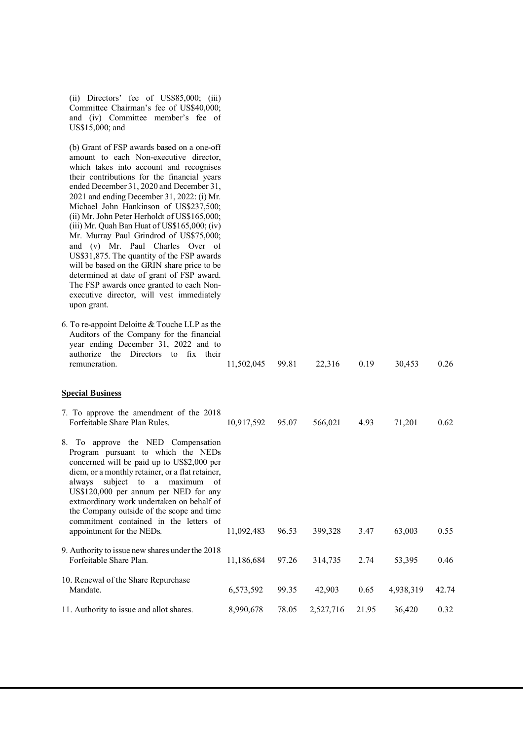| (ii) Directors' fee of $US$85,000$ ; (iii)<br>Committee Chairman's fee of US\$40,000;<br>and (iv) Committee member's fee of<br>US\$15,000; and                                                                                                                                                                                                                                                                                                                                                                                                                                                                                                                                                                                                      |            |       |           |       |           |       |
|-----------------------------------------------------------------------------------------------------------------------------------------------------------------------------------------------------------------------------------------------------------------------------------------------------------------------------------------------------------------------------------------------------------------------------------------------------------------------------------------------------------------------------------------------------------------------------------------------------------------------------------------------------------------------------------------------------------------------------------------------------|------------|-------|-----------|-------|-----------|-------|
| (b) Grant of FSP awards based on a one-off<br>amount to each Non-executive director,<br>which takes into account and recognises<br>their contributions for the financial years<br>ended December 31, 2020 and December 31,<br>2021 and ending December 31, 2022: (i) Mr.<br>Michael John Hankinson of US\$237,500;<br>(ii) Mr. John Peter Herholdt of US\$165,000;<br>(iii) Mr. Quah Ban Huat of US\$165,000; (iv)<br>Mr. Murray Paul Grindrod of US\$75,000;<br>and (v) Mr. Paul Charles Over of<br>US\$31,875. The quantity of the FSP awards<br>will be based on the GRIN share price to be<br>determined at date of grant of FSP award.<br>The FSP awards once granted to each Non-<br>executive director, will vest immediately<br>upon grant. |            |       |           |       |           |       |
| 6. To re-appoint Deloitte $&$ Touche LLP as the<br>Auditors of the Company for the financial<br>year ending December 31, 2022 and to<br>Directors to fix their<br>authorize the<br>remuneration.                                                                                                                                                                                                                                                                                                                                                                                                                                                                                                                                                    | 11,502,045 | 99.81 | 22,316    | 0.19  | 30,453    | 0.26  |
| <b>Special Business</b>                                                                                                                                                                                                                                                                                                                                                                                                                                                                                                                                                                                                                                                                                                                             |            |       |           |       |           |       |
| 7. To approve the amendment of the 2018<br>Forfeitable Share Plan Rules.                                                                                                                                                                                                                                                                                                                                                                                                                                                                                                                                                                                                                                                                            | 10,917,592 | 95.07 | 566,021   | 4.93  | 71,201    | 0.62  |
| 8. To approve the NED Compensation<br>Program pursuant to which the NEDs<br>concerned will be paid up to US\$2,000 per<br>diem, or a monthly retainer, or a flat retainer,<br>always subject to a maximum of<br>US\$120,000 per annum per NED for any<br>extraordinary work undertaken on behalf of<br>the Company outside of the scope and time<br>commitment contained in the letters of<br>appointment for the NEDs.                                                                                                                                                                                                                                                                                                                             | 11,092,483 | 96.53 | 399,328   | 3.47  | 63,003    | 0.55  |
| 9. Authority to issue new shares under the 2018<br>Forfeitable Share Plan.                                                                                                                                                                                                                                                                                                                                                                                                                                                                                                                                                                                                                                                                          | 11,186,684 | 97.26 | 314,735   | 2.74  | 53,395    | 0.46  |
| 10. Renewal of the Share Repurchase<br>Mandate.                                                                                                                                                                                                                                                                                                                                                                                                                                                                                                                                                                                                                                                                                                     | 6,573,592  | 99.35 | 42,903    | 0.65  | 4,938,319 | 42.74 |
| 11. Authority to issue and allot shares.                                                                                                                                                                                                                                                                                                                                                                                                                                                                                                                                                                                                                                                                                                            | 8,990,678  | 78.05 | 2,527,716 | 21.95 | 36,420    | 0.32  |